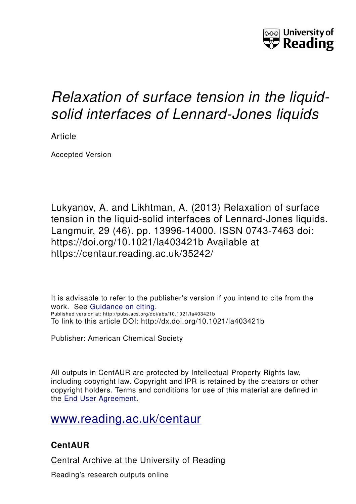

# *Relaxation of surface tension in the liquidsolid interfaces of Lennard-Jones liquids*

Article

Accepted Version

Lukyanov, A. and Likhtman, A. (2013) Relaxation of surface tension in the liquid-solid interfaces of Lennard-Jones liquids. Langmuir, 29 (46). pp. 13996-14000. ISSN 0743-7463 doi: https://doi.org/10.1021/la403421b Available at https://centaur.reading.ac.uk/35242/

It is advisable to refer to the publisher's version if you intend to cite from the work. See [Guidance on citing.](http://centaur.reading.ac.uk/71187/10/CentAUR%20citing%20guide.pdf) Published version at: http://pubs.acs.org/doi/abs/10.1021/la403421b To link to this article DOI: http://dx.doi.org/10.1021/la403421b

Publisher: American Chemical Society

All outputs in CentAUR are protected by Intellectual Property Rights law, including copyright law. Copyright and IPR is retained by the creators or other copyright holders. Terms and conditions for use of this material are defined in the [End User Agreement.](http://centaur.reading.ac.uk/licence)

[www.reading.ac.uk/centaur](http://www.reading.ac.uk/centaur)

# **CentAUR**

Central Archive at the University of Reading

Reading's research outputs online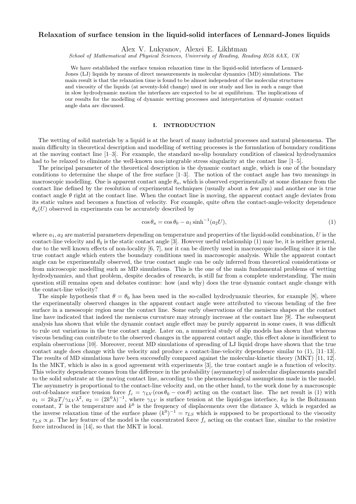# Relaxation of surface tension in the liquid-solid interfaces of Lennard-Jones liquids

Alex V. Lukyanov, Alexei E. Likhtman

School of Mathematical and Physical Sciences, University of Reading, Reading RG6 6AX, UK

We have established the surface tension relaxation time in the liquid-solid interfaces of Lennard-Jones (LJ) liquids by means of direct measurements in molecular dynamics (MD) simulations. The main result is that the relaxation time is found to be almost independent of the molecular structures and viscosity of the liquids (at seventy-fold change) used in our study and lies in such a range that in slow hydrodynamic motion the interfaces are expected to be at equilibrium. The implications of our results for the modelling of dynamic wetting processes and interpretation of dynamic contact angle data are discussed.

### I. INTRODUCTION

The wetting of solid materials by a liquid is at the heart of many industrial processes and natural phenomena. The main difficulty in theoretical description and modelling of wetting processes is the formulation of boundary conditions at the moving contact line [1–3]. For example, the standard no-slip boundary condition of classical hydrodynamics had to be relaxed to eliminate the well-known non-integrable stress singularity at the contact line [1–5].

The principal parameter of the theoretical description is the dynamic contact angle, which is one of the boundary conditions to determine the shape of the free surface [1–3]. The notion of the contact angle has two meanings in macroscopic modelling. One is apparent contact angle  $\theta_a$ , which is observed experimentally at some distance from the contact line defined by the resolution of experimental techniques (usually about a few  $\mu$ m) and another one is true contact angle  $\theta$  right at the contact line. When the contact line is moving, the apparent contact angle deviates from its static values and becomes a function of velocity. For example, quite often the contact-angle-velocity dependence  $\theta_a(U)$  observed in experiments can be accurately described by

$$
\cos \theta_a = \cos \theta_0 - a_1 \sinh^{-1}(a_2 U),\tag{1}
$$

where  $a_1, a_2$  are material parameters depending on temperature and properties of the liquid-solid combination, U is the contact-line velocity and  $\theta_0$  is the static contact angle [3]. However useful relationship (1) may be, it is neither general, due to the well known effects of non-locality [6, 7], nor it can be directly used in macroscopic modelling since it is the true contact angle which enters the boundary conditions used in macroscopic analysis. While the apparent contact angle can be experimentally observed, the true contact angle can be only inferred from theoretical considerations or from microscopic modelling such as MD simulations. This is the one of the main fundamental problems of wetting hydrodynamics, and that problem, despite decades of research, is still far from a complete understanding. The main question still remains open and debates continue: how (and why) does the true dynamic contact angle change with the contact-line velocity?

The simple hypothesis that  $\theta = \theta_0$  has been used in the so-called hydrodynamic theories, for example [8], where the experimentally observed changes in the apparent contact angle were attributed to viscous bending of the free surface in a mesoscopic region near the contact line. Some early observations of the meniscus shapes at the contact line have indicated that indeed the meniscus curvature may strongly increase at the contact line [9]. The subsequent analysis has shown that while the dynamic contact angle effect may be purely apparent in some cases, it was difficult to rule out variations in the true contact angle. Later on, a numerical study of slip models has shown that whereas viscous bending can contribute to the observed changes in the apparent contact angle, this effect alone is insufficient to explain observations [10]. Moreover, recent MD simulations of spreading of LJ liquid drops have shown that the true contact angle does change with the velocity and produce a contact-line-velocity dependence similar to (1), [11–13]. The results of MD simulations have been successfully compared against the molecular-kinetic theory (MKT) [11, 12]. In the MKT, which is also in a good agreement with experiments [3], the true contact angle is a function of velocity. This velocity dependence comes from the difference in the probability (asymmetry) of molecular displacements parallel to the solid substrate at the moving contact line, according to the phenomenological assumptions made in the model. The asymmetry is proportional to the contact-line velocity and, on the other hand, to the work done by a macroscopic out-of-balance surface tension force  $f_c = \gamma_{LV}(\cos\theta_0 - \cos\theta)$  acting on the contact line. The net result is (1) with  $a_1 = 2k_BT/\gamma_{LV}\lambda^2$ ,  $a_2 = (2k^0\lambda)^{-1}$ , where  $\gamma_{LV}$  is surface tension at the liquid-gas interface,  $k_B$  is the Boltzmann constant, T is the temperature and  $k^0$  is the frequency of displacements over the distance  $\lambda$ , which is regarded as the inverse relaxation time of the surface phase  $(k^0)^{-1} = \tau_{LS}$  which is supposed to be proportional to the viscosity  $\tau_{LS} \propto \mu$ . The key feature of the model is the concentrated force  $f_c$  acting on the contact line, similar to the resistive force introduced in [14], so that the MKT is local.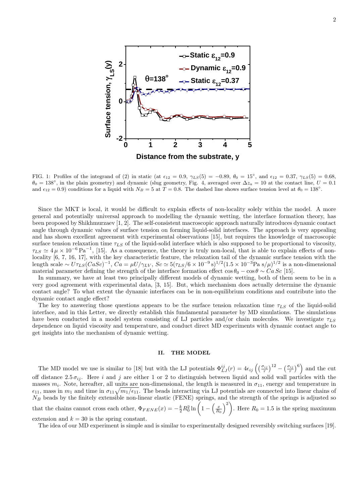

FIG. 1: Profiles of the integrand of (2) in static (at  $\epsilon_{12} = 0.9$ ,  $\gamma_{LS}(5) = -0.89$ ,  $\theta_0 = 15^\circ$ , and  $\epsilon_{12} = 0.37$ ,  $\gamma_{LS}(5) = 0.68$ ,  $\theta_0 = 138^\circ$ , in the plain geometry) and dynamic (slug geometry, Fig. 4, averaged over  $\Delta z_a = 10$  at the contact line,  $U = 0.1$ and  $\epsilon_{12} = 0.9$ ) conditions for a liquid with  $N_B = 5$  at  $T = 0.8$ . The dashed line shows surface tension level at  $\theta_0 = 138^\circ$ .

Since the MKT is local, it would be difficult to explain effects of non-locality solely within the model. A more general and potentially universal approach to modelling the dynamic wetting, the interface formation theory, has been proposed by Shikhmurzaev [1, 2]. The self-consistent macroscopic approach naturally introduces dynamic contact angle through dynamic values of surface tension on forming liquid-solid interfaces. The approach is very appealing and has shown excellent agreement with experimental observations [15], but requires the knowledge of macroscopic surface tension relaxation time  $\tau_{LS}$  of the liquid-solid interface which is also supposed to be proportional to viscosity,  $\tau_{LS} \simeq 4 \,\mu \times 10^{-6} \,\text{Pa}^{-1}$ , [15]. As a consequence, the theory is truly non-local, that is able to explain effects of nonlocality [6, 7, 16, 17], with the key characteristic feature, the relaxation tail of the dynamic surface tension with the length scale  $\sim U\tau_{LS}(Cas_C)^{-1}$ ,  $Ca = \mu U/\gamma_{LV}$ ,  $Sc \simeq 5(\tau_{LS}/6 \times 10^{-9} \text{ s})^{1/2}(1.5 \times 10^{-3} \text{Pa s}/\mu)^{1/2}$  is a non-dimensional material parameter defining the strength of the interface formation effect  $\cos \theta_0 - \cos \theta \sim Ca Sc$  [15].

In summary, we have at least two principally different models of dynamic wetting, both of them seem to be in a very good agreement with experimental data, [3, 15]. But, which mechanism does actually determine the dynamic contact angle? To what extent the dynamic interfaces can be in non-equilibrium conditions and contribute into the dynamic contact angle effect?

The key to answering those questions appears to be the surface tension relaxation time  $\tau_{LS}$  of the liquid-solid interface, and in this Letter, we directly establish this fundamental parameter by MD simulations. The simulations have been conducted in a model system consisting of LJ particles and/or chain molecules. We investigate  $\tau_{LS}$ dependence on liquid viscosity and temperature, and conduct direct MD experiments with dynamic contact angle to get insights into the mechanism of dynamic wetting.

#### II. THE MODEL

The MD model we use is similar to [18] but with the LJ potentials  $\Phi_{LJ}^{ij}(r) = 4\epsilon_{ij} \left( \left(\frac{\sigma_{ij}}{r}\right)^{12} - \left(\frac{\sigma_{ij}}{r}\right)^6 \right)$  and the cut off distance 2.5  $\sigma_{ij}$ . Here i and j are either 1 or 2 to distinguish between liquid and solid wall particles with the masses  $m_i$ . Note, hereafter, all units are non-dimensional, the length is measured in  $\sigma_{11}$ , energy and temperature in  $\epsilon_{11}$ , mass in  $m_1$  and time in  $\sigma_{11}\sqrt{m_1/\epsilon_{11}}$ . The beads interacting via LJ potentials are connected into linear chains of  $N_B$  beads by the finitely extensible non-linear elastic (FENE) springs, and the strength of the springs is adjusted so that the chains cannot cross each other,  $\Phi_{FENE}(x) = -\frac{k}{2}R_0^2 \ln\left(1-\left(\frac{x}{R_0}\right)^2\right)$ . Here  $R_0 = 1.5$  is the spring maximum

extension and  $k = 30$  is the spring constant.

The idea of our MD experiment is simple and is similar to experimentally designed reversibly switching surfaces [19].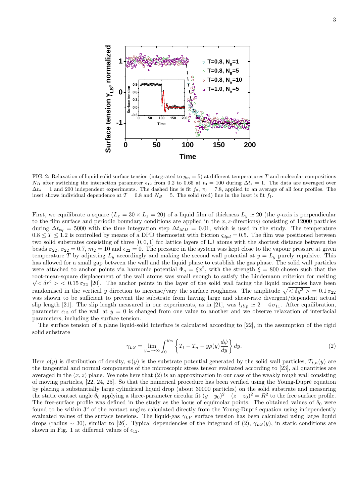

FIG. 2: Relaxation of liquid-solid surface tension (integrated to  $y_m = 5$ ) at different temperatures T and molecular compositions  $N_B$  after switching the interaction parameter  $\epsilon_{12}$  from 0.2 to 0.65 at  $t_0 = 100$  during  $\Delta t_s = 1$ . The data are averaged over  $\Delta t_a = 1$  and 200 independent experiments. The dashed line is fit  $f_0$ ,  $\tau_0 = 7.8$ , applied to an average of all four profiles. The inset shows individual dependence at  $T = 0.8$  and  $N_B = 5$ . The solid (red) line in the inset is fit  $f_1$ .

First, we equilibrate a square  $(L_x = 30 \times L_z = 20)$  of a liquid film of thickness  $L_y \approx 20$  (the y-axis is perpendicular to the film surface and periodic boundary conditions are applied in the  $x, z$ -directions) consisting of 12000 particles during  $\Delta t_{eq} = 5000$  with the time integration step  $\Delta t_{MD} = 0.01$ , which is used in the study. The temperature  $0.8 \leq T \leq 1.2$  is controlled by means of a DPD thermostat with friction  $\varsigma_{dpd} = 0.5$ . The film was positioned between two solid substrates consisting of three  $[0, 0, 1]$  fcc lattice layers of LJ atoms with the shortest distance between the beads  $\sigma_{22}$ ,  $\sigma_{22} = 0.7$ ,  $m_2 = 10$  and  $\epsilon_{22} = 0$ . The pressure in the system was kept close to the vapour pressure at given temperature T by adjusting  $L_y$  accordingly and making the second wall potential at  $y = L_y$  purely repulsive. This has allowed for a small gap between the wall and the liquid phase to establish the gas phase. The solid wall particles were attached to anchor points via harmonic potential  $\Phi_a = \xi x^2$ , with the strength  $\xi = 800$  chosen such that the root-mean-square displacement of the wall atoms was small enough to satisfy the Lindemann criterion for melting  $\sqrt{\langle \delta r^2 \rangle}$  < 0.15  $\sigma_{22}$  [20]. The anchor points in the layer of the solid wall facing the liquid molecules have been randomised in the vertical y direction to increase/vary the surface roughness. The amplitude  $\sqrt{\langle \delta y^2 \rangle} = 0.1 \sigma_{22}$ was shown to be sufficient to prevent the substrate from having large and shear-rate divergent/dependent actual slip length [21]. The slip length measured in our experiments, as in [21], was  $l_{slip} \simeq 2 - 4 \sigma_{11}$ . After equilibration, parameter  $\epsilon_{12}$  of the wall at  $y = 0$  is changed from one value to another and we observe relaxation of interfacial parameters, including the surface tension.

The surface tension of a plane liquid-solid interface is calculated according to [22], in the assumption of the rigid solid substrate

$$
\gamma_{LS} = \lim_{y_m \to \infty} \int_0^{y_m} \left\{ T_t - T_n - y\rho(y) \frac{d\psi}{dy} \right\} dy.
$$
\n(2)

Here  $\rho(y)$  is distribution of density,  $\psi(y)$  is the substrate potential generated by the solid wall particles,  $T_{t,n}(y)$  are the tangential and normal components of the microscopic stress tensor evaluated according to [23], all quantities are averaged in the  $(x, z)$  plane. We note here that  $(2)$  is an approximation in our case of the weakly rough wall consisting of moving particles, [22, 24, 25]. So that the numerical procedure has been verified using the Young-Dupré equation by placing a substantially large cylindrical liquid drop (about 30000 particles) on the solid substrate and measuring the static contact angle  $\theta_0$  applying a three-parameter circular fit  $(y - y_0)^2 + (z - z_0)^2 = R^2$  to the free surface profile. The free-surface profile was defined in the study as the locus of equimolar points. The obtained values of  $\theta_0$  were found to be within  $3°$  of the contact angles calculated directly from the Young-Dupré equation using independently evaluated values of the surface tensions. The liquid-gas  $\gamma_{LV}$  surface tension has been calculated using large liquid drops (radius ~ 30), similar to [26]. Typical dependencies of the integrand of (2),  $\gamma_{LS}(y)$ , in static conditions are shown in Fig. 1 at different values of  $\epsilon_{12}$ .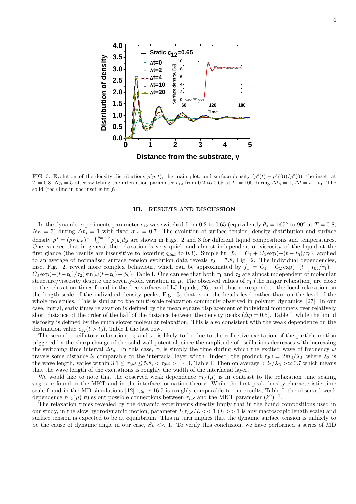

FIG. 3: Evolution of the density distributions  $\rho(y,t)$ , the main plot, and surface density  $(\rho^s(t) - \rho^s(0))/\rho^s(0)$ , the inset, at  $T = 0.8$ ,  $N_B = 5$  after switching the interaction parameter  $\epsilon_{12}$  from 0.2 to 0.65 at  $t_0 = 100$  during  $\Delta t_s = 1$ ,  $\Delta t = t - t_0$ . The solid (red) line in the inset is fit  $f_1$ .

#### III. RESULTS AND DISCUSSION

In the dynamic experiments parameter  $\epsilon_{12}$  was switched from 0.2 to 0.65 (equivalently  $\theta_0 = 165°$  to 90° at  $T = 0.8$ ,  $N_B = 5$ ) during  $\Delta t_s = 1$  with fixed  $\sigma_{12} = 0.7$ . The evolution of surface tension, density distribution and surface density  $\rho^s = (\rho_B y_m)^{-1} \int_0^{y_m=5} \rho(y) dy$  are shown in Figs. 2 and 3 for different liquid compositions and temperatures. One can see that in general the relaxation is very quick and almost independent of viscosity of the liquid at the first glance (the results are insensitive to lowering  $\varsigma_{dpd}$  to 0.3). Simple fit,  $f_0 = C_1 + C_2 \exp(-(t - t_0)/\tau_0)$ , applied to an average of normalised surface tension evolution data reveals  $\tau_0 = 7.8$ , Fig. 2. The individual dependencies, inset Fig. 2, reveal more complex behaviour, which can be approximated by  $f_1 = C_1 + C_2 \exp(-(t - t_0)/\tau_1) +$  $C_3 \exp(-(t-t_0)/\tau_2) \sin(\omega(t-t_0) + \phi_0)$ , Table I. One can see that both  $\tau_1$  and  $\tau_2$  are almost independent of molecular structure/viscosity despite the seventy-fold variation in  $\mu$ . The observed values of  $\tau_1$  (the major relaxation) are close to the relaxation times found in the free surfaces of LJ liquids, [26], and thus correspond to the local relaxation on the length scale of the individual density peaks, Fig. 3, that is on the beads level rather than on the level of the whole molecules. This is similar to the multi-scale relaxation commonly observed in polymer dynamics, [27]. In our case, initial, early times relaxation is defined by the mean square displacement of individual monomers over relatively short distance of the order of the half of the distance between the density peaks ( $\Delta y = 0.5$ ), Table I, while the liquid viscosity is defined by the much slower molecular relaxation. This is also consistent with the weak dependence on the destination value  $\epsilon_{12}(t > t_0)$ , Table I the last row.

The second, oscillatory relaxation,  $\tau_2$  and  $\omega$ , is likely to be due to the collective excitation of the particle motion triggered by the sharp change of the solid wall potential, since the amplitude of oscillations decreases with increasing the switching time interval  $\Delta t_s$ . In this case,  $\tau_2$  is simply the time during which the excited wave of frequency  $\omega$ travels some distance  $l_2$  comparable to the interfacial layer width. Indeed, the product  $\tau_2 \omega = 2\pi l_2/\lambda_2$ , where  $\lambda_2$  is the wave length, varies within  $3.1 \leq \tau_2 \omega \leq 5.8, \langle \tau_2 \omega \rangle = 4.4$ , Table I. Then on average  $\langle l_2/\lambda_2 \rangle \simeq 0.7$  which means that the wave length of the excitations is roughly the width of the interfacial layer.

We would like to note that the observed weak dependence  $\tau_{1,2}(\mu)$  is in contrast to the relaxation time scaling  $\tau_{LS} \propto \mu$  found in the MKT and in the interface formation theory. While the first peak density characteristic time scale found in the MD simulations [12]  $\tau_{dp} \simeq 16.5$  is roughly comparable to our results, Table I, the observed weak dependence  $\tau_{1,2}(\mu)$  rules out possible connections between  $\tau_{LS}$  and the MKT parameter  $(k^0)^{-1}$ .

The relaxation times revealed by the dynamic experiments directly imply that in the liquid compositions used in our study, in the slow hydrodynamic motion, parameter  $U\tau_{LS}/L \ll 1$  ( $L >> 1$  is any macroscopic length scale) and surface tension is expected to be at equilibrium. This in turn implies that the dynamic surface tension is unlikely to be the cause of dynamic angle in our case,  $Sc \ll 1$ . To verify this conclusion, we have performed a series of MD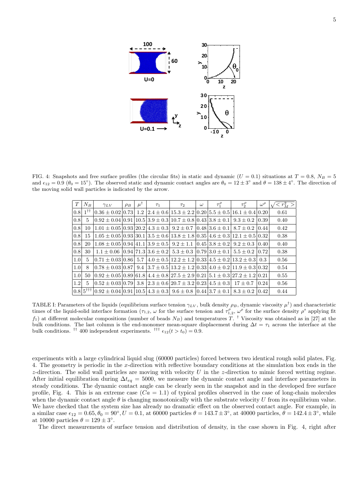

FIG. 4: Snapshots and free surface profiles (the circular fits) in static and dynamic  $(U = 0.1)$  situations at  $T = 0.8$ ,  $N_B = 5$ and  $\epsilon_{12} = 0.9$  ( $\theta_0 = 15^{\circ}$ ). The observed static and dynamic contact angles are  $\theta_0 = 12 \pm 3^{\circ}$  and  $\theta = 138 \pm 4^{\circ}$ . The direction of the moving solid wall particles is indicated by the arrow.

| T                | $N_B$                             | $\gamma_{LV}$                                                                                                                                 | $\rho_B$ | $\mu$ | $\tau_1$ | $\tau_2$ | $\omega$ | $\tau_1^{\rho}$ | $\tau_2^P$                                                                   | $\omega^{\rho}$ | $\sqrt{r_M^2}$ |
|------------------|-----------------------------------|-----------------------------------------------------------------------------------------------------------------------------------------------|----------|-------|----------|----------|----------|-----------------|------------------------------------------------------------------------------|-----------------|----------------|
| 0.8              | $\cdot$ 1 <sup>††</sup> .         | $0.36 + 0.02 \times 73$                                                                                                                       |          | 1.2   |          |          |          |                 | $[2.4 \pm 0.6]$ 15.3 ± 2.2 $[0.20]$ 5.5 ± 0.5 $[16.1 \pm 0.4]$ 0.20          |                 | 0.61           |
| 0.8              | 5                                 | $0.92 \pm 0.04 \times 0.91 \times 10.5 \times 3.9 \pm 0.3 \times 10.7 \pm 0.8 \times 0.43 \times 3.8 \pm 0.1 \times 9.3 \pm 0.2 \times 0.39$  |          |       |          |          |          |                 |                                                                              |                 | 0.40           |
| 0.8              | 10                                | $1.01 \pm 0.05 \times 0.93 \times 20.2 \times 4.3 \pm 0.3 \times 9.2 \pm 0.7 \times 0.48 \times 3.6 \pm 0.1 \times 8.7 \pm 0.2 \times 0.44$   |          |       |          |          |          |                 |                                                                              |                 | 0.42           |
| 0.8              | 15                                | $1.05 \pm 0.05 \times 0.93 \times 30.1 \times 3.5 \pm 0.6 \times 13.8 \pm 1.8 \times 0.35 \times 4.6 \pm 0.3 \times 12.1 \pm 0.5 \times 0.32$ |          |       |          |          |          |                 |                                                                              |                 | 0.38           |
| 0.8              | 20                                | $1.08 \pm 0.05 \times 0.94 \times 41.1 \times 3.9 \pm 0.5 \times 9.2 \pm 1.1 \times 0.45 \times 3.8 \pm 0.2 \times 9.2 \pm 0.3 \times 0.40$   |          |       |          |          |          |                 |                                                                              |                 | 0.40           |
| 0.8              | 30                                | $1.1 \pm 0.06$ [0.94] $71.3$ [3.6 $\pm$ 0.2] $5.3 \pm 0.3$ [0.79] $3.0 \pm 0.1$ [5.5 $\pm$ 0.2] [0.72]                                        |          |       |          |          |          |                 |                                                                              |                 | 0.38           |
| 1.0 <sub>l</sub> | 5                                 | $0.71 \pm 0.03$   0.86   5.7                                                                                                                  |          |       |          |          |          |                 | $(4.0 \pm 0.5)$ 12.2 $\pm$ 1.2 $(0.33)$ 4.5 $\pm$ 0.2   13.2 $\pm$ 0.3   0.3 |                 | 0.56           |
| 1.0 <sub>l</sub> | 8                                 | $0.78 \pm 0.03$ [0.87]                                                                                                                        |          | 9.4   |          |          |          |                 | $13.7 \pm 0.5113.2 \pm 1.210.3314.0 \pm 0.2111.9 \pm 0.310.32$               |                 | 0.54           |
| 1.0 <sub>l</sub> | 50                                | $0.92 \pm 0.05$   0.89   61.8   4.4 $\pm 0.8$   27.5 $\pm 2.9$   0.21   5.1 $\pm 0.3$   27.2 $\pm 1.2$   0.21                                 |          |       |          |          |          |                 |                                                                              |                 | 0.55           |
| 1.2              | 5                                 | $0.52 \pm 0.03$   0.79   3.8   2.3 $\pm$ 0.6   20.7 $\pm$ 3.2   0.23   4.5 $\pm$ 0.3   17 $\pm$ 0.7                                           |          |       |          |          |          |                 |                                                                              | 10.24           | 0.56           |
|                  | $ 0.8 5^{\dagger\dagger\dagger} $ | $0.92 \pm 0.04 \times 0.91 \times 10.5 \times 4.3 \pm 0.3 \times 9.6 \pm 0.8 \times 0.44 \times 3.7 \pm 0.1 \times 3.3 \pm 0.2 \times 0.42$   |          |       |          |          |          |                 |                                                                              |                 | 0.44           |

TABLE I: Parameters of the liquids (equilibrium surface tension  $\gamma_{LV}$ , bulk density  $\rho_B$ , dynamic viscosity  $\mu^{\dagger}$ ) and characteristic times of the liquid-solid interface formation  $(\tau_{1,2}, \omega$  for the surface tension and  $\tau_{1,2}^{\rho}, \omega^{\rho}$  for the surface density  $\rho^s$  applying fit  $f_1$ ) at different molecular compositions (number of beads  $N_B$ ) and temperatures T. <sup>†</sup> Viscosity was obtained as in [27] at the bulk conditions. The last column is the end-monomer mean-square displacement during  $\Delta t = \tau_1$  across the interface at the bulk conditions. <sup>††</sup> 400 independent experiments. <sup>†††</sup>  $\epsilon_{12}(t > t_0) = 0.9$ .

experiments with a large cylindrical liquid slug (60000 particles) forced between two identical rough solid plates, Fig. 4. The geometry is periodic in the x-direction with reflective boundary conditions at the simulation box ends in the  $z$ -direction. The solid wall particles are moving with velocity U in the  $z$ -direction to mimic forced wetting regime. After initial equilibration during  $\Delta t_{eq} = 5000$ , we measure the dynamic contact angle and interface parameters in steady conditions. The dynamic contact angle can be clearly seen in the snapshot and in the developed free surface profile, Fig. 4. This is an extreme case  $(Ca = 1.1)$  of typical profiles observed in the case of long-chain molecules when the dynamic contact angle  $\theta$  is changing monotonically with the substrate velocity U from its equilibrium value. We have checked that the system size has already no dramatic effect on the observed contact angle. For example, in a similar case  $\epsilon_{12} = 0.65, \theta_0 = 90^\circ, U = 0.1$ , at 60000 particles  $\theta = 143.7 \pm 3^\circ$ , at 40000 particles,  $\theta = 142.4 \pm 3^\circ$ , while at 10000 particles  $\theta = 129 \pm 3^{\circ}$ .

The direct measurements of surface tension and distribution of density, in the case shown in Fig. 4, right after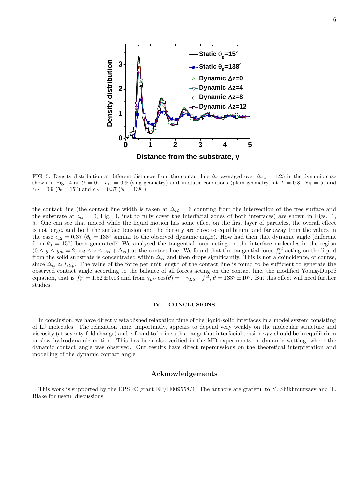

FIG. 5: Density distribution at different distances from the contact line  $\Delta z$  averaged over  $\Delta z_a = 1.25$  in the dynamic case shown in Fig. 4 at  $U = 0.1$ ,  $\epsilon_{12} = 0.9$  (slug geometry) and in static conditions (plain geometry) at  $T = 0.8$ ,  $N_B = 5$ , and  $\epsilon_{12} = 0.9 \ (\theta_0 = 15^{\circ}) \text{ and } \epsilon_{12} = 0.37 \ (\theta_0 = 138^{\circ}).$ 

the contact line (the contact line width is taken at  $\Delta_{cl} = 6$  counting from the intersection of the free surface and the substrate at  $z_{cl} = 0$ , Fig. 4, just to fully cover the interfacial zones of both interfaces) are shown in Figs. 1, 5. One can see that indeed while the liquid motion has some effect on the first layer of particles, the overall effect is not large, and both the surface tension and the density are close to equilibrium, and far away from the values in the case  $\epsilon_{12} = 0.37$  ( $\theta_0 = 138°$  similar to the observed dynamic angle). How had then that dynamic angle (different from  $\theta_0 = 15^{\circ}$ ) been generated? We analysed the tangential force acting on the interface molecules in the region  $(0 \le y \le y_m = 2, z_{cl} \le z \le z_{cl} + \Delta_{cl})$  at the contact line. We found that the tangential force  $f_z^{cl}$  acting on the liquid from the solid substrate is concentrated within  $\Delta_{cl}$  and then drops significantly. This is not a coincidence, of course, since  $\Delta_{cl} \simeq l_{slip}$ . The value of the force per unit length of the contact line is found to be sufficient to generate the observed contact angle according to the balance of all forces acting on the contact line, the modified Young-Dupré equation, that is  $f_z^{cl} = 1.52 \pm 0.13$  and from  $\gamma_{LV} \cos(\theta) = -\gamma_{LS} - f_z^{cl}$ ,  $\theta = 133^\circ \pm 10^\circ$ . But this effect will need further studies.

# IV. CONCLUSIONS

In conclusion, we have directly established relaxation time of the liquid-solid interfaces in a model system consisting of LJ molecules. The relaxation time, importantly, appears to depend very weakly on the molecular structure and viscosity (at seventy-fold change) and is found to be in such a range that interfacial tension  $\gamma_{LS}$  should be in equilibrium in slow hydrodynamic motion. This has been also verified in the MD experiments on dynamic wetting, where the dynamic contact angle was observed. Our results have direct repercussions on the theoretical interpretation and modelling of the dynamic contact angle.

## Acknowledgements

This work is supported by the EPSRC grant EP/H009558/1. The authors are grateful to Y. Shikhmurzaev and T. Blake for useful discussions.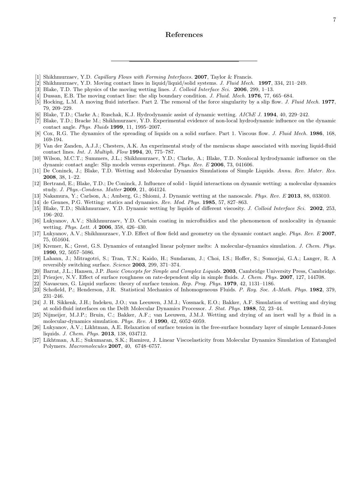# References

- [1] Shikhmurzaev, Y.D. *Capillary Flows with Forming Interfaces.* **2007**, Taylor & Francis.
- [2] Shikhmurzaev, Y.D. Moving contact lines in liquid/liquid/solid systems. J. Fluid Mech. 1997, 334, 211–249.
- [3] Blake, T.D. The physics of the moving wetting lines. J. Colloid Interface Sci. 2006, 299, 1–13.
- [4] Dussan, E.B. The moving contact line: the slip boundary condition. J. Fluid. Mech. 1976, 77, 665–684.
- [5] Hocking, L.M. A moving fluid interface. Part 2. The removal of the force singularity by a slip flow. J. Fluid Mech. 1977, 79, 209–229.
- [6] Blake, T.D.; Clarke A.; Ruschak, K.J. Hydrodynamic assist of dynamic wetting. AIChE J. 1994, 40, 229–242.
- [7] Blake, T.D.; Bracke M.; Shikhmurzaev, Y.D. Experimental evidence of non-local hydrodynamic influence on the dynamic contact angle. Phys. Fluids 1999, 11, 1995–2007.
- [8] Cox, R.G. The dynamics of the spreading of liquids on a solid surface. Part 1. Viscous flow. J. Fluid Mech. 1986, 168, 169-194.
- [9] Van der Zanden, A.J.J.; Chesters, A.K. An experimental study of the meniscus shape associated with moving liquid-fluid contact lines. Int. J. Multiph. Flow 1994, 20, 775–787.
- [10] Wilson, M.C.T.; Summers, J.L.; Shikhmurzaev, Y.D.; Clarke, A.; Blake, T.D. Nonlocal hydrodynamic influence on the dynamic contact angle: Slip models versus experiment. Phys. Rev. E 2006, 73, 041606.
- [11] De Coninck, J.; Blake, T.D. Wetting and Molecular Dynamics Simulations of Simple Liquids. Annu. Rev. Mater. Res. 2008, 38, 1–22.
- [12] Bertrand, E.; Blake, T.D.; De Coninck, J. Influence of solid liquid interactions on dynamic wetting: a molecular dynamics study. J. Phys.-Condens. Matter 2009, 21, 464124.
- [13] Nakamura, Y.; Carlson, A.; Amberg, G.; Shiomi, J. Dynamic wetting at the nanoscale. Phys. Rev. E 2013, 88, 033010.
- [14] de Gennes, P.G. Wetting: statics and dynamics. Rev. Mod. Phys.  $1985, 57, 827-863$ .
- [15] Blake, T.D.; Shikhmurzaev, Y.D. Dynamic wetting by liquids of different viscosity. J. Colloid Interface Sci. 2002, 253, 196–202.
- [16] Lukyanov, A.V.; Shikhmurzaev, Y.D. Curtain coating in microfluidics and the phenomenon of nonlocality in dynamic wetting. Phys. Lett. A 2006, 358, 426–430.
- [17] Lukyanov, A.V.; Shikhmurzaev, Y.D. Effect of flow field and geometry on the dynamic contact angle. Phys. Rev. E 2007, 75, 051604.
- [18] Kremer, K.; Grest, G.S. Dynamics of entangled linear polymer melts: A molecular-dynamics simulation. J. Chem. Phys. 1990, 92, 5057–5086.
- [19] Lahann, J.; Mitragotri, S.; Tran, T.N.; Kaido, H.; Sundaram, J.; Choi, I.S.; Hoffer, S.; Somorjai, G.A.; Langer, R. A reversibly switching surface. Science 2003, 299, 371–374.
- [20] Barrat, J.L.; Hansen, J.P. Basic Concepts for Simple and Complex Liquids. 2003, Cambridge University Press, Cambridge.
- [21] Priezjev, N.V. Effect of surface roughness on rate-dependent slip in simple fluids. J. Chem. Phys. 2007, 127, 144708.
- [22] Navascues, G. Liquid surfaces: theory of surface tension. Rep. Prog. Phys. 1979, 42, 1131–1186.
- [23] Schofield, P.; Henderson, J.R. Statistical Mechanics of Inhomogeneous Fluids. P. Roy. Soc. A-Math. Phys. 1982, 379, 231–246.
- [24] J. H. Sikkenk, J.H.; Indekeu, J.O.; van Leeuwen, J.M.J.; Vossnack, E.O.; Bakker, A.F. Simulation of wetting and drying at solid-fluid interfaces on the Delft Molecular Dynamics Processor. J. Stat. Phys. 1988, 52, 23–44.
- [25] Nijmeijer, M.J.P.; Bruin, C.; Bakker, A.F.; van Leeuwen, J.M.J. Wetting and drying of an inert wall by a fluid in a molecular-dynamics simulation. Phys. Rev. A 1990, 42, 6052–6059.
- [26] Lukyanov, A.V.; Likhtman, A.E. Relaxation of surface tension in the free-surface boundary layer of simple Lennard-Jones liquids. J. Chem. Phys. 2013, 138, 034712.
- [27] Likhtman, A.E.; Sukumaran, S.K.; Ramirez, J. Linear Viscoelasticity from Molecular Dynamics Simulation of Entangled Polymers. Macromolecules 2007, 40, 6748–6757.